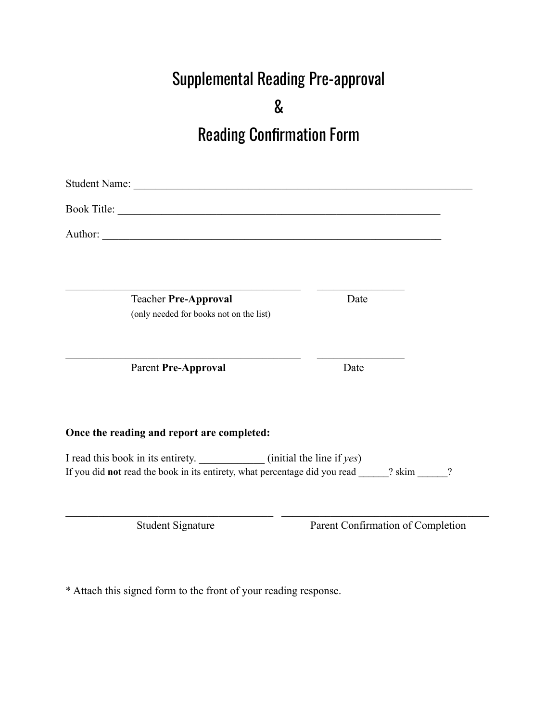# Supplemental Reading Pre-approval

&

## Reading Confirmation Form

Student Name: \_\_\_\_\_\_\_\_\_\_\_\_\_\_\_\_\_\_\_\_\_\_\_\_\_\_\_\_\_\_\_\_\_\_\_\_\_\_\_\_\_\_\_\_\_\_\_\_\_\_\_\_\_\_\_\_\_\_\_\_\_\_ Book Title: \_\_\_\_\_\_\_\_\_\_\_\_\_\_\_\_\_\_\_\_\_\_\_\_\_\_\_\_\_\_\_\_\_\_\_\_\_\_\_\_\_\_\_\_\_\_\_\_\_\_\_\_\_\_\_\_\_\_\_ Author: \_\_\_\_\_\_\_\_\_\_\_\_\_\_\_\_\_\_\_\_\_\_\_\_\_\_\_\_\_\_\_\_\_\_\_\_\_\_\_\_\_\_\_\_\_\_\_\_\_\_\_\_\_\_\_\_\_\_\_\_\_\_  $\mathcal{L}_\text{max}$  , and the contribution of the contribution of the contribution of the contribution of the contribution of the contribution of the contribution of the contribution of the contribution of the contribution of t Teacher **Pre-Approval** Date (only needed for books not on the list)  $\mathcal{L}_\text{max}$  and the contract of the contract of the contract of the contract of the contract of the contract of Parent **Pre-Approval** Date **Once the reading and report are completed:** I read this book in its entirety. (initial the line if *yes*) If you did **not** read the book in its entirety, what percentage did you read ? skim ?  $\mathcal{L}_\mathcal{L} = \{ \mathcal{L}_\mathcal{L} = \{ \mathcal{L}_\mathcal{L} = \{ \mathcal{L}_\mathcal{L} = \{ \mathcal{L}_\mathcal{L} = \{ \mathcal{L}_\mathcal{L} = \{ \mathcal{L}_\mathcal{L} = \{ \mathcal{L}_\mathcal{L} = \{ \mathcal{L}_\mathcal{L} = \{ \mathcal{L}_\mathcal{L} = \{ \mathcal{L}_\mathcal{L} = \{ \mathcal{L}_\mathcal{L} = \{ \mathcal{L}_\mathcal{L} = \{ \mathcal{L}_\mathcal{L} = \{ \mathcal{L}_\mathcal{$ Student Signature Parent Confirmation of Completion

\* Attach this signed form to the front of your reading response.